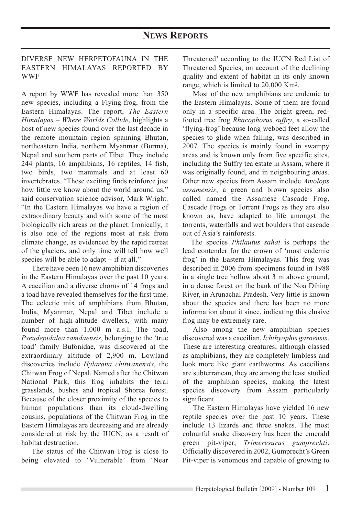## DIVERSE NEW HERPETOFAUNA IN THE EASTERN HIMALAYAS REPORTED BY WWF

A report by WWF has revealed more than 350 new species, including a Flying-frog, from the Eastern Himalayas. The report, *The Eastern Himalayas – Where Worlds Collide*, highlights a host of new species found over the last decade in the remote mountain region spanning Bhutan, northeastern India, northern Myanmar (Burma), Nepal and southern parts of Tibet. They include 244 plants, 16 amphibians, 16 reptiles, 14 fish, two birds, two mammals and at least 60 invertebrates. "These exciting finds reinforce just how little we know about the world around us," said conservation science advisor, Mark Wright. "In the Eastern Himalayas we have a region of extraordinary beauty and with some of the most biologically rich areas on the planet. Ironically, it is also one of the regions most at risk from climate change, as evidenced by the rapid retreat of the glaciers, and only time will tell how well species will be able to adapt – if at all."

There have been 16 new amphibian discoveries in the Eastern Himalayas over the past 10 years. A caecilian and a diverse chorus of 14 frogs and a toad have revealed themselves for the first time. The eclectic mix of amphibians from Bhutan, India, Myanmar, Nepal and Tibet include a number of high-altitude dwellers, with many found more than 1,000 m a.s.l. The toad, *Pseudepidalea zamdaensis*, belonging to the 'true toad' family Bufonidae, was discovered at the extraordinary altitude of 2,900 m. Lowland discoveries include *Hylarana chitwanensis*, the Chitwan Frog of Nepal. Named after the Chitwan National Park, this frog inhabits the terai grasslands, bushes and tropical Shorea forest. Because of the closer proximity of the species to human populations than its cloud-dwelling cousins, populations of the Chitwan Frog in the Eastern Himalayas are decreasing and are already considered at risk by the IUCN, as a result of habitat destruction.

The status of the Chitwan Frog is close to being elevated to 'Vulnerable' from 'Near Threatened' according to the IUCN Red List of Threatened Species, on account of the declining quality and extent of habitat in its only known range, which is limited to 20,000 Km2.

Most of the new amphibians are endemic to the Eastern Himalayas. Some of them are found only in a specific area. The bright green, redfooted tree frog *Rhacophorus suffry*, a so-called 'flying-frog' because long webbed feet allow the species to glide when falling, was described in 2007. The species is mainly found in swampy areas and is known only from five specific sites, including the Suffry tea estate in Assam, where it was originally found, and in neighbouring areas. Other new species from Assam include *Amolops assamensis*, a green and brown species also called named the Assamese Cascade Frog. Cascade Frogs or Torrent Frogs as they are also known as, have adapted to life amongst the torrents, waterfalls and wet boulders that cascade out of Asia's rainforests.

The species *Philautus sahai* is perhaps the lead contender for the crown of 'most endemic frog' in the Eastern Himalayas. This frog was described in 2006 from specimens found in 1988 in a single tree hollow about 3 m above ground, in a dense forest on the bank of the Noa Dihing River, in Arunachal Pradesh. Very little is known about the species and there has been no more information about it since, indicating this elusive frog may be extremely rare.

Also among the new amphibian species discovered was a caecilian, *Ichthyophis garoensis*. These are interesting creatures; although classed as amphibians, they are completely limbless and look more like giant earthworms. As caecilians are subterranean, they are among the least studied of the amphibian species, making the latest species discovery from Assam particularly significant.

The Eastern Himalayas have yielded 16 new reptile species over the past 10 years. These include 13 lizards and three snakes. The most colourful snake discovery has been the emerald green pit-viper, *Trimeresurus gumprechti*. Officially discovered in 2002, Gumprecht's Green Pit-viper is venomous and capable of growing to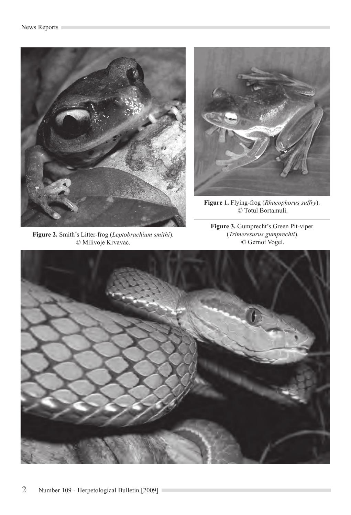

**Figure 2.** Smith's Litter-frog (*Leptobrachium smithi*). © Milivoje Krvavac.



**Figure 1.** Flying-frog (*Rhacophorus suffry*). © Totul Bortamuli.

**Figure 3.** Gumprecht's Green Pit-viper (*Trimeresurus gumprechti*). © Gernot Vogel.